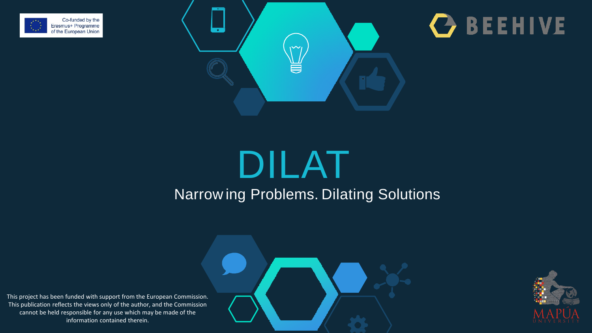





## DILAT Narrow ing Problems. Dilating Solutions

This project has been funded with support from the European Commission. This publication reflects the views only of the author, and the Commission cannot be held responsible for any use which may be made of the information contained therein.



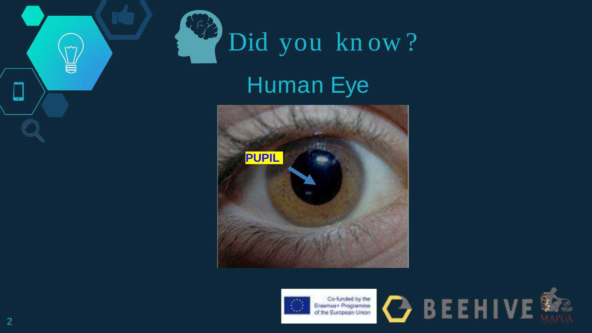# Did you know? Human Eye





Co-funded by the<br>Ensemist Programme<br>of the European Union



 $\mathsf{m}$ 

ă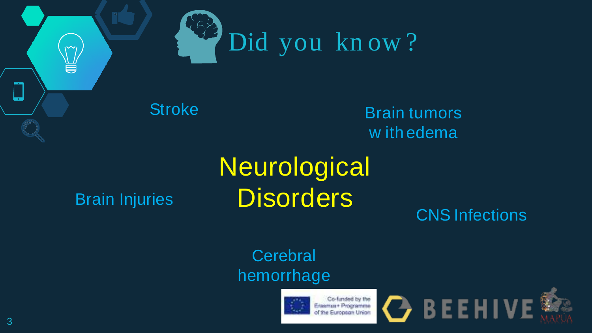

**Stroke** 

Brain tumors w ith edema

### Brain Injuries

 $\widetilde{\phantom{a}}$ ă

## **Disorders Neurological**

CNS Infections

## **Cerebral** hemorrhage



Co-funded by the Ensimar Programme Francisco Lingua



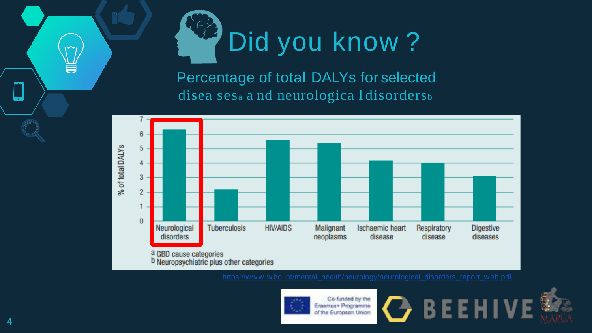

Percentage of total DALYs for selected disea ses<sub>a</sub> a nd neurologica I disorders<sub>b</sub>





Co-funded by the Eleanua+ Programme of the European Union





 $\sim$ 

ē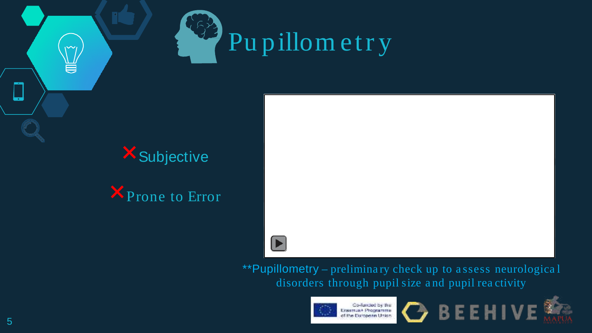

## **X** Subjective

U

**X** Prone to Error



\*\*Pupillometry – preliminary check up to assess neurological disorders through pupil size and pupil reactivity





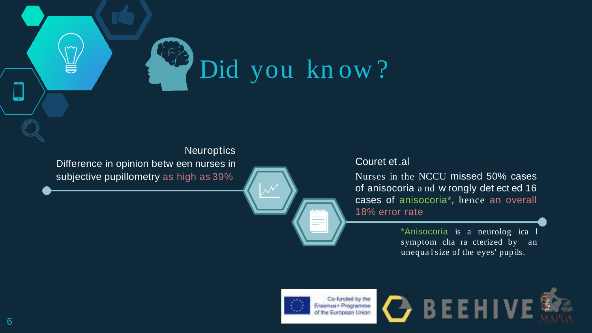

#### **Neuroptics**

Difference in opinion betw een nurses in subjective pupillometry as high as 39%

#### Couret et .al

Nurses in the NCCU missed 50% cases of anisocoria a nd w rongly det ect ed 16 cases of anisocoria\*, hence an overall 18% error rate

> \*Anisocoria is a neurolog ica l symptom cha ra cterized by an unequal size of the eyes' pup ils.



Co-funded by the Erasmus+ Programme of the European Union

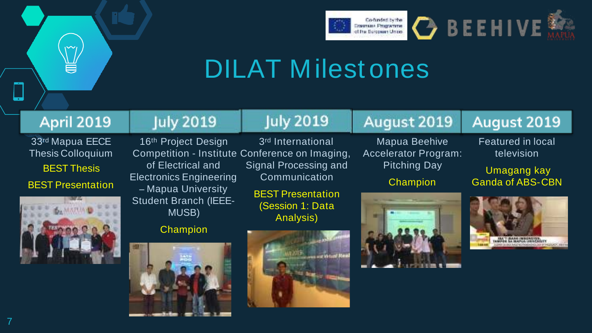

## DILAT Milest ones

#### April 2019

33rd Mapua EECE Thesis Colloquium BEST Thesis BEST Presentation



### **July 2019**

### **July 2019**

of Electrical and Electronics Engineering **–** Mapua University Student Branch (IEEE-MUSB)

#### **Champion**



16<sup>th</sup> Project Design 3<sup>rd</sup> International Competition - Institute Conference on Imaging, Signal Processing and Communication

> BEST Presentation (Session 1: Data Analysis)



Mapua Beehive Accelerator Program: Pitching Day

August 2019

**Champion** 



#### August 2019

Featured in local television

Umagang kay Ganda of ABS-CBN

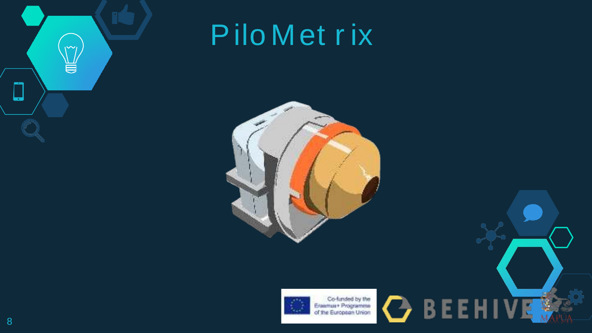

# PiloMetrix





Co-funded by the<br>Enamus+ Programme<br>of the European Union

**OBEEHIVE**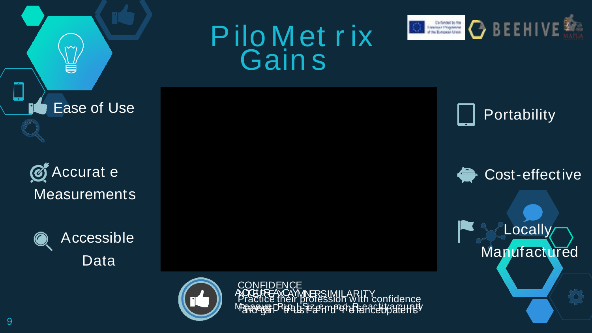# Pilo Metrix<br>Gains



**C**Accurat e **Measurements** 

**Ease of Use** 

J



Accessible Data



REAXCAMMERSIMILAR<br>ICE their profession W<br>IGE PHERICISCHMPEHER Practice

Portability

Cost-effective

**Locally** Manufactured

9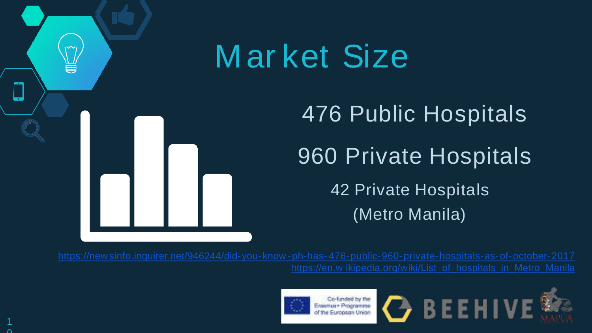

# M ar ket Size

# 476 Public Hospitals 960 Private Hospitals 42 Private Hospitals (Metro Manila)



Co-funded by the Eleanua+ Programme the European Union



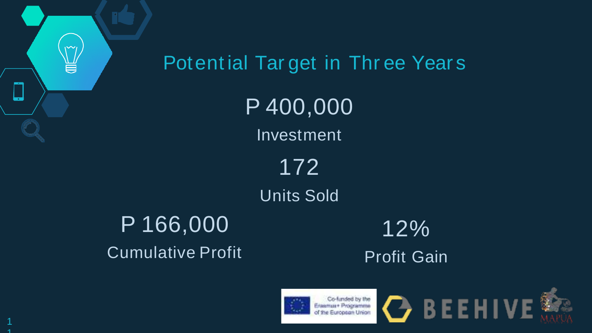



Co-funded by the Eleanua+ Programme Europaan Union